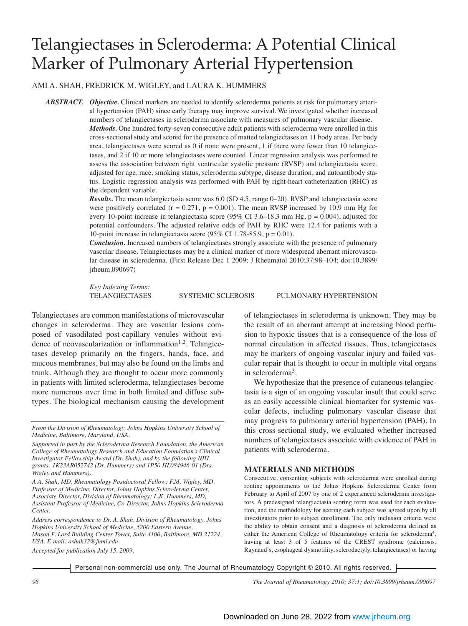# Telangiectases in Scleroderma: A Potential Clinical Marker of Pulmonary Arterial Hypertension

AMI A. SHAH, FREDRICK M. WIGLEY, and LAURA K. HUMMERS

*ABSTRACT. Objective.* Clinical markers are needed to identify scleroderma patients at risk for pulmonary arterial hypertension (PAH) since early therapy may improve survival. We investigated whether increased numbers of telangiectases in scleroderma associate with measures of pulmonary vascular disease. *Methods.* One hundred forty-seven consecutive adult patients with scleroderma were enrolled in this cross-sectional study and scored for the presence of matted telangiectases on 11 body areas. Per body area, telangiectases were scored as 0 if none were present, 1 if there were fewer than 10 telangiectases, and 2 if 10 or more telangiectases were counted. Linear regression analysis was performed to assess the association between right ventricular systolic pressure (RVSP) and telangiectasia score, adjusted for age, race, smoking status, scleroderma subtype, disease duration, and autoantibody status. Logistic regression analysis was performed with PAH by right-heart catheterization (RHC) as the dependent variable.

> *Results*. The mean telangiectasia score was 6.0 (SD 4.5, range 0–20). RVSP and telangiectasia score were positively correlated ( $r = 0.271$ ,  $p = 0.001$ ). The mean RVSP increased by 10.9 mm Hg for every 10-point increase in telangiectasia score (95% CI 3.6–18.3 mm Hg, p = 0.004), adjusted for potential confounders. The adjusted relative odds of PAH by RHC were 12.4 for patients with a 10-point increase in telangiectasia score (95% CI 1.78-85.9,  $p = 0.01$ ).

> *Conclusion.* Increased numbers of telangiectases strongly associate with the presence of pulmonary vascular disease. Telangiectases may be a clinical marker of more widespread aberrant microvascular disease in scleroderma. (First Release Dec 1 2009; J Rheumatol 2010;37:98–104; doi:10.3899/ jrheum.090697)

*Key Indexing Terms:*

TELANGIECTASES SYSTEMIC SCLEROSIS PULMONARY HYPERTENSION

Telangiectases are common manifestations of microvascular changes in scleroderma. They are vascular lesions composed of vasodilated post-capillary venules without evidence of neovascularization or inflammation<sup>1,2</sup>. Telangiectases develop primarily on the fingers, hands, face, and mucous membranes, but may also be found on the limbs and trunk. Although they are thought to occur more commonly in patients with limited scleroderma, telangiectases become more numerous over time in both limited and diffuse subtypes. The biological mechanism causing the development

*A.A. Shah, MD, Rheumatology Postdoctoral Fellow; F.M. Wigley, MD, Professor of Medicine, Director, Johns Hopkins Scleroderma Center, Associate Director, Division of Rheumatology; L.K. Hummers, MD, Assistant Professor of Medicine, Co-Director, Johns Hopkins Scleroderma Center.*

*Address correspondence to Dr. A. Shah, Division of Rheumatology, Johns Hopkins University School of Medicine, 5200 Eastern Avenue, Mason F. Lord Building Center Tower, Suite 4100, Baltimore, MD 21224, USA. E-mail: ashah32@jhmi.edu*

*Accepted for publication July 15, 2009.*

of telangiectases in scleroderma is unknown. They may be the result of an aberrant attempt at increasing blood perfusion to hypoxic tissues that is a consequence of the loss of normal circulation in affected tissues. Thus, telangiectases may be markers of ongoing vascular injury and failed vascular repair that is thought to occur in multiple vital organs in scleroderma3.

We hypothesize that the presence of cutaneous telangiectasia is a sign of an ongoing vascular insult that could serve as an easily accessible clinical biomarker for systemic vascular defects, including pulmonary vascular disease that may progress to pulmonary arterial hypertension (PAH). In this cross-sectional study, we evaluated whether increased numbers of telangiectases associate with evidence of PAH in patients with scleroderma.

## **MATERIALS AND METHODS**

Consecutive, consenting subjects with scleroderma were enrolled during routine appointments to the Johns Hopkins Scleroderma Center from February to April of 2007 by one of 2 experienced scleroderma investigators. A predesigned telangiectasia scoring form was used for each evaluation, and the methodology for scoring each subject was agreed upon by all investigators prior to subject enrollment. The only inclusion criteria were the ability to obtain consent and a diagnosis of scleroderma defined as either the American College of Rheumatology criteria for scleroderma<sup>4</sup>, having at least 3 of 5 features of the CREST syndrome (calcinosis, Raynaud's, esophageal dysmotility, sclerodactyly, telangiectases) or having

Personal non-commercial use only. The Journal of Rheumatology Copyright © 2010. All rights reserved.

*From the Division of Rheumatology, Johns Hopkins University School of Medicine, Baltimore, Maryland, USA.*

*Supported in part by the Scleroderma Research Foundation, the American College of Rheumatology Research and Education Foundation's Clinical Investigator Fellowship Award (Dr. Shah), and by the following NIH grants: 1K23AR052742 (Dr. Hummers) and 1P50 HL084946-01 (Drs. Wigley and Hummers).*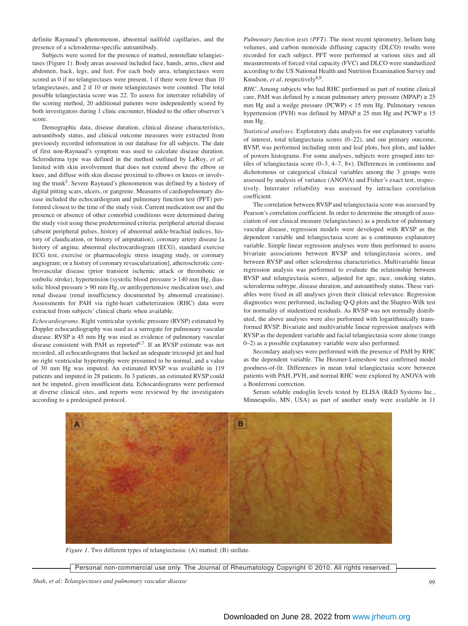definite Raynaud's phenomenon, abnormal nailfold capillaries, and the presence of a scleroderma-specific autoantibody.

Subjects were scored for the presence of matted, nonstellate telangiectases (Figure 1). Body areas assessed included face, hands, arms, chest and abdomen, back, legs, and feet. For each body area, telangiectases were scored as 0 if no telangiectases were present, 1 if there were fewer than 10 telangiectases, and 2 if 10 or more telangiectases were counted. The total possible telangiectasia score was 22. To assess for interrater reliability of the scoring method, 20 additional patients were independently scored by both investigators during 1 clinic encounter, blinded to the other observer's score.

Demographic data, disease duration, clinical disease characteristics, autoantibody status, and clinical outcome measures were extracted from previously recorded information in our database for all subjects. The date of first non-Raynaud's symptom was used to calculate disease duration. Scleroderma type was defined in the method outlined by LeRoy, *et al*: limited with skin involvement that does not extend above the elbow or knee, and diffuse with skin disease proximal to elbows or knees or involving the trunk<sup>5</sup>. Severe Raynaud's phenomenon was defined by a history of digital pitting scars, ulcers, or gangrene. Measures of cardiopulmonary disease included the echocardiogram and pulmonary function test (PFT) performed closest to the time of the study visit. Current medication use and the presence or absence of other comorbid conditions were determined during the study visit using these predetermined criteria: peripheral arterial disease (absent peripheral pulses, history of abnormal ankle-brachial indices, history of claudication, or history of amputation), coronary artery disease [a history of angina; abnormal electrocardiogram (ECG), standard exercise ECG test, exercise or pharmacologic stress imaging study, or coronary angiogram; or a history of coronary revascularization], atherosclerotic cerebrovascular disease (prior transient ischemic attack or thrombotic or embolic stroke), hypertension (systolic blood pressure > 140 mm Hg, diastolic blood pressure > 90 mm Hg, or antihypertensive medication use), and renal disease (renal insufficiency documented by abnormal creatinine). Assessments for PAH via right-heart catheterization (RHC) data were extracted from subjects' clinical charts when available.

*Echocardiograms.* Right ventricular systolic pressure (RVSP) estimated by Doppler echocardiography was used as a surrogate for pulmonary vascular disease. RVSP  $\geq$  45 mm Hg was used as evidence of pulmonary vascular disease consistent with PAH as reported<sup>6,7</sup>. If an RVSP estimate was not recorded, all echocardiograms that lacked an adequate tricuspid jet and had no right ventricular hypertrophy were presumed to be normal, and a value of 30 mm Hg was imputed. An estimated RVSP was available in 119 patients and imputed in 28 patients. In 3 patients, an estimated RVSP could not be imputed, given insufficient data. Echocardiograms were performed at diverse clinical sites, and reports were reviewed by the investigators according to a predesigned protocol.

*Pulmonary function tests (PFT).* The most recent spirometry, helium lung volumes, and carbon monoxide diffusing capacity (DLCO) results were recorded for each subject. PFT were performed at various sites and all measurements of forced vital capacity (FVC) and DLCO were standardized according to the US National Health and Nutrition Examination Survey and Knudson, *et al*, respectively<sup>8,9</sup>.

*RHC.* Among subjects who had RHC performed as part of routine clinical care, PAH was defined by a mean pulmonary artery pressure (MPAP)  $\geq 25$ mm Hg and a wedge pressure (PCWP) < 15 mm Hg. Pulmonary venous hypertension (PVH) was defined by MPAP  $\geq$  25 mm Hg and PCWP  $\geq$  15 mm Hg.

*Statistical analyses.* Exploratory data analysis for our explanatory variable of interest, total telangiectasia scores (0–22), and our primary outcome, RVSP, was performed including stem and leaf plots, box plots, and ladder of powers histograms. For some analyses, subjects were grouped into tertiles of telangiectasia score (0–3, 4–7, 8+). Differences in continuous and dichotomous or categorical clinical variables among the 3 groups were assessed by analysis of variance (ANOVA) and Fisher's exact test, respectively. Interrater reliability was assessed by intraclass correlation coefficient.

The correlation between RVSP and telangiectasia score was assessed by Pearson's correlation coefficient. In order to determine the strength of association of our clinical measure (telangiectases) as a predictor of pulmonary vascular disease, regression models were developed with RVSP as the dependent variable and telangiectasia score as a continuous explanatory variable. Simple linear regression analyses were then performed to assess bivariate associations between RVSP and telangiectasia scores, and between RVSP and other scleroderma characteristics. Multivariable linear regression analysis was performed to evaluate the relationship between RVSP and telangiectasia scores, adjusted for age, race, smoking status, scleroderma subtype, disease duration, and autoantibody status. These variables were fixed in all analyses given their clinical relevance. Regression diagnostics were performed, including Q-Q plots and the Shapiro-Wilk test for normality of studentized residuals. As RVSP was not normally distributed, the above analyses were also performed with logarithmically transformed RVSP. Bivariate and multivariable linear regression analyses with RVSP as the dependent variable and facial telangiectasia score alone (range 0–2) as a possible explanatory variable were also performed.

Secondary analyses were performed with the presence of PAH by RHC as the dependent variable. The Hosmer-Lemeshow test confirmed model goodness-of-fit. Differences in mean total telangiectasia score between patients with PAH, PVH, and normal RHC were explored by ANOVA with a Bonferroni correction.

Serum soluble endoglin levels tested by ELISA (R&D Systems Inc., Minneapolis, MN, USA) as part of another study were available in 11



*Figure 1.* Two different types of telangiectasia: (A) matted; (B) stellate.

Personal non-commercial use only. The Journal of Rheumatology Copyright © 2010. All rights reserved.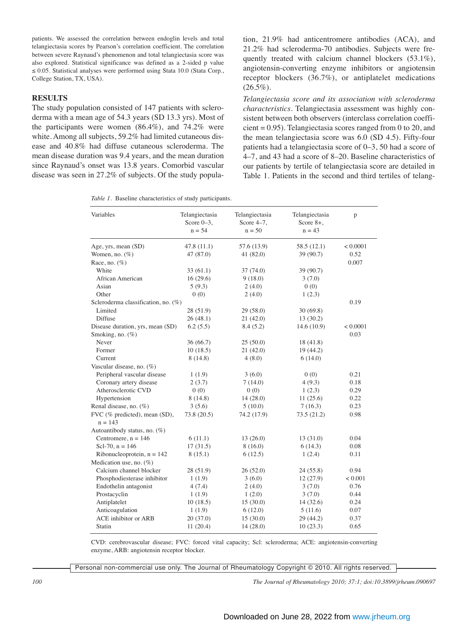patients. We assessed the correlation between endoglin levels and total telangiectasia scores by Pearson's correlation coefficient. The correlation between severe Raynaud's phenomenon and total telangiectasia score was also explored. Statistical significance was defined as a 2-sided p value ≤ 0.05. Statistical analyses were performed using Stata 10.0 (Stata Corp., College Station, TX, USA).

# **RESULTS**

The study population consisted of 147 patients with scleroderma with a mean age of 54.3 years (SD 13.3 yrs). Most of the participants were women (86.4%), and 74.2% were white. Among all subjects, 59.2% had limited cutaneous disease and 40.8% had diffuse cutaneous scleroderma. The mean disease duration was 9.4 years, and the mean duration since Raynaud's onset was 13.8 years. Comorbid vascular disease was seen in 27.2% of subjects. Of the study population, 21.9% had anticentromere antibodies (ACA), and 21.2% had scleroderma-70 antibodies. Subjects were frequently treated with calcium channel blockers (53.1%), angiotensin-converting enzyme inhibitors or angiotensin receptor blockers (36.7%), or antiplatelet medications  $(26.5\%)$ .

*Telangiectasia score and its association with scleroderma characteristics*. Telangiectasia assessment was highly consistent between both observers (interclass correlation coefficient = 0.95). Telangiectasia scores ranged from 0 to 20, and the mean telangiectasia score was 6.0 (SD 4.5). Fifty-four patients had a telangiectasia score of 0–3, 50 had a score of 4–7, and 43 had a score of 8–20. Baseline characteristics of our patients by tertile of telangiectasia score are detailed in Table 1. Patients in the second and third tertiles of telang-

| Variables                                  | Telangiectasia<br>Score $0-3$ ,<br>$n = 54$ | Telangiectasia<br>Score $4-7$ ,<br>$n = 50$ | Telangiectasia<br>Score $8+$ ,<br>$n = 43$ | p        |  |
|--------------------------------------------|---------------------------------------------|---------------------------------------------|--------------------------------------------|----------|--|
| Age, yrs, mean (SD)                        | 47.8(11.1)                                  | 57.6 (13.9)                                 | 58.5(12.1)                                 | < 0.0001 |  |
| Women, no. $(\%)$                          | 47 (87.0)                                   | 41 $(82.0)$                                 | 39(90.7)                                   | 0.52     |  |
| Race, no. $(\%)$                           |                                             |                                             |                                            | 0.007    |  |
| White                                      | 33(61.1)                                    | 37(74.0)                                    | 39 (90.7)                                  |          |  |
| African American                           | 16(29.6)                                    | 9(18.0)                                     | 3(7.0)                                     |          |  |
| Asian                                      | 5(9.3)                                      | 2(4.0)                                      | 0(0)                                       |          |  |
| Other                                      | 0(0)                                        | 2(4.0)                                      | 1(2.3)                                     |          |  |
| Scleroderma classification, no. (%)        |                                             | 0.19                                        |                                            |          |  |
| Limited                                    | 28 (51.9)                                   | 29(58.0)                                    | 30(69.8)                                   |          |  |
| Diffuse                                    | 26(48.1)                                    | 21(42.0)                                    | 13(30.2)                                   |          |  |
| Disease duration, yrs, mean (SD)           | 6.2(5.5)                                    | 8.4(5.2)                                    | 14.6(10.9)                                 | < 0.0001 |  |
| Smoking, no. $(\%)$                        |                                             |                                             |                                            | 0.03     |  |
| Never                                      | 36(66.7)                                    | 25(50.0)                                    | 18(41.8)                                   |          |  |
| Former                                     | 10(18.5)                                    | 21(42.0)                                    | 19(44.2)                                   |          |  |
| Current                                    | 8(14.8)                                     | 4(8.0)                                      | 6(14.0)                                    |          |  |
| Vascular disease, no. (%)                  |                                             |                                             |                                            |          |  |
| Peripheral vascular disease                | 1(1.9)                                      | 3(6.0)                                      | 0(0)                                       | 0.21     |  |
| Coronary artery disease                    | 2(3.7)                                      | 7(14.0)                                     | 4(9.3)                                     | 0.18     |  |
| Atherosclerotic CVD                        | 0(0)                                        | 0(0)                                        | 1(2.3)                                     | 0.29     |  |
| Hypertension                               | 8(14.8)                                     | 14(28.0)                                    | 11(25.6)                                   | 0.22     |  |
| Renal disease, no. (%)                     | 3(5.6)                                      | 5(10.0)                                     | 7(16.3)                                    | 0.23     |  |
| FVC (% predicted), mean (SD),<br>$n = 143$ | 73.8(20.5)                                  | 74.2 (17.9)                                 | 73.5(21.2)                                 | 0.98     |  |
| Autoantibody status, no. (%)               |                                             |                                             |                                            |          |  |
| Centromere, $n = 146$                      | 6(11.1)                                     | 13(26.0)                                    | 13(31.0)                                   | 0.04     |  |
| Scl-70, $n = 146$                          | 17(31.5)                                    | 8(16.0)                                     | 6(14.3)                                    | 0.08     |  |
| Ribonucleoprotein, $n = 142$               | 8(15.1)                                     | 6(12.5)                                     | 1(2.4)                                     | 0.11     |  |
| Medication use, no. $(\%)$                 |                                             |                                             |                                            |          |  |
| Calcium channel blocker                    | 28 (51.9)                                   | 26(52.0)                                    | 24(55.8)                                   | 0.94     |  |
| Phosphodiesterase inhibitor                | 1(1.9)                                      | 3(6.0)                                      | 12(27.9)                                   | < 0.001  |  |
| Endothelin antagonist                      | 4(7.4)                                      | 2(4.0)                                      | 3(7.0)                                     | 0.76     |  |
| Prostacyclin                               | 1(1.9)                                      | 1(2.0)                                      | 3(7.0)                                     | 0.44     |  |
| Antiplatelet                               | 10(18.5)                                    | 15(30.0)                                    | 14(32.6)                                   | 0.24     |  |
| Anticoagulation                            | 1(1.9)                                      | 6(12.0)                                     | 5(11.6)                                    | 0.07     |  |
| ACE inhibitor or ARB                       | 20(37.0)                                    | 15(30.0)                                    | 29 (44.2)                                  | 0.37     |  |
| Statin                                     | 11(20.4)                                    | 14(28.0)                                    | 10(23.3)                                   | 0.65     |  |
|                                            |                                             |                                             |                                            |          |  |

*Table 1.* Baseline characteristics of study participants.

CVD: cerebrovascular disease; FVC: forced vital capacity; Scl: scleroderma; ACE: angiotensin-converting enzyme, ARB: angiotensin receptor blocker.

Personal non-commercial use only. The Journal of Rheumatology Copyright © 2010. All rights reserved.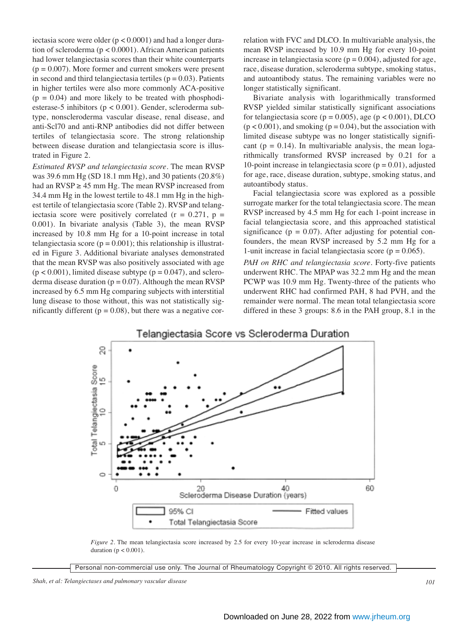iectasia score were older ( $p < 0.0001$ ) and had a longer duration of scleroderma (p < 0.0001). African American patients had lower telangiectasia scores than their white counterparts  $(p = 0.007)$ . More former and current smokers were present in second and third telangiectasia tertiles ( $p = 0.03$ ). Patients in higher tertiles were also more commonly ACA-positive  $(p = 0.04)$  and more likely to be treated with phosphodiesterase-5 inhibitors (p < 0.001). Gender, scleroderma subtype, nonscleroderma vascular disease, renal disease, and anti-Scl70 and anti-RNP antibodies did not differ between tertiles of telangiectasia score. The strong relationship between disease duration and telangiectasia score is illustrated in Figure 2.

*Estimated RVSP and telangiectasia score.* The mean RVSP was 39.6 mm Hg (SD 18.1 mm Hg), and 30 patients (20.8%) had an  $RVSP \geq 45$  mm Hg. The mean  $RVSP$  increased from 34.4 mm Hg in the lowest tertile to 48.1 mm Hg in the highest tertile of telangiectasia score (Table 2). RVSP and telangiectasia score were positively correlated  $(r = 0.271, p =$ 0.001). In bivariate analysis (Table 3), the mean RVSP increased by 10.8 mm Hg for a 10-point increase in total telangiectasia score ( $p = 0.001$ ); this relationship is illustrated in Figure 3. Additional bivariate analyses demonstrated that the mean RVSP was also positively associated with age  $(p < 0.001)$ , limited disease subtype  $(p = 0.047)$ , and scleroderma disease duration  $(p = 0.07)$ . Although the mean RVSP increased by 6.5 mm Hg comparing subjects with interstitial lung disease to those without, this was not statistically significantly different ( $p = 0.08$ ), but there was a negative correlation with FVC and DLCO. In multivariable analysis, the mean RVSP increased by 10.9 mm Hg for every 10-point increase in telangiectasia score ( $p = 0.004$ ), adjusted for age, race, disease duration, scleroderma subtype, smoking status, and autoantibody status. The remaining variables were no longer statistically significant.

Bivariate analysis with logarithmically transformed RVSP yielded similar statistically significant associations for telangiectasia score ( $p = 0.005$ ), age ( $p < 0.001$ ), DLCO  $(p < 0.001)$ , and smoking  $(p = 0.04)$ , but the association with limited disease subtype was no longer statistically significant ( $p = 0.14$ ). In multivariable analysis, the mean logarithmically transformed RVSP increased by 0.21 for a 10-point increase in telangiectasia score ( $p = 0.01$ ), adjusted for age, race, disease duration, subtype, smoking status, and autoantibody status.

Facial telangiectasia score was explored as a possible surrogate marker for the total telangiectasia score. The mean RVSP increased by 4.5 mm Hg for each 1-point increase in facial telangiectasia score, and this approached statistical significance ( $p = 0.07$ ). After adjusting for potential confounders, the mean RVSP increased by 5.2 mm Hg for a 1-unit increase in facial telangiectasia score ( $p = 0.065$ ).

*PAH on RHC and telangiectasia score.* Forty-five patients underwent RHC. The MPAP was 32.2 mm Hg and the mean PCWP was 10.9 mm Hg. Twenty-three of the patients who underwent RHC had confirmed PAH, 8 had PVH, and the remainder were normal. The mean total telangiectasia score differed in these 3 groups: 8.6 in the PAH group, 8.1 in the



*Figure 2.* The mean telangiectasia score increased by 2.5 for every 10-year increase in scleroderma disease duration ( $p < 0.001$ ).

Personal non-commercial use only. The Journal of Rheumatology Copyright © 2010. All rights reserved.

*Shah, et al: Telangiectases and pulmonary vascular disease 101*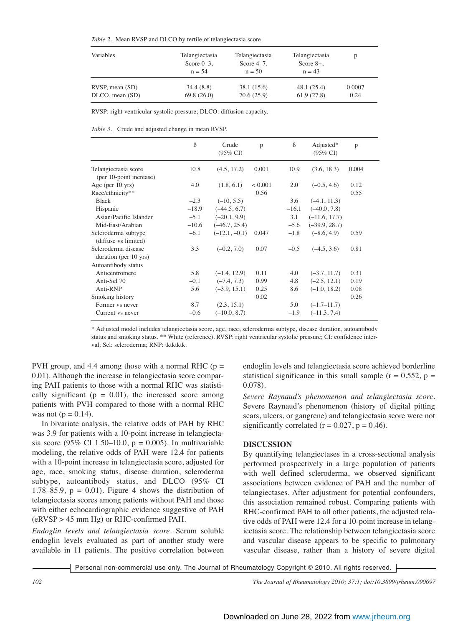| Variables       | Telangiectasia<br>Score $0-3$ ,<br>$n = 54$ | Telangiectasia<br>Score $4-7$ ,<br>$n = 50$ | Telangiectasia<br>Score $8+$ ,<br>$n = 43$ | p      |
|-----------------|---------------------------------------------|---------------------------------------------|--------------------------------------------|--------|
| RVSP, mean (SD) | 34.4(8.8)                                   | 38.1 (15.6)                                 | 48.1(25.4)                                 | 0.0007 |
| DLCO, mean (SD) | 69.8(26.0)                                  | 70.6(25.9)                                  | 61.9(27.8)                                 | 0.24   |

RVSP: right ventricular systolic pressure; DLCO: diffusion capacity.

*Table 3.* Crude and adjusted change in mean RVSP.

|                                                 | $\beta$ | Crude<br>$(95\% \text{ CI})$ | p       | $\beta$ | Adjusted*<br>$(95\% \text{ CI})$ | p     |  |
|-------------------------------------------------|---------|------------------------------|---------|---------|----------------------------------|-------|--|
| Telangiectasia score<br>(per 10-point increase) | 10.8    | (4.5, 17.2)                  | 0.001   | 10.9    | (3.6, 18.3)                      | 0.004 |  |
| Age (per $10$ yrs)                              | 4.0     | (1.8, 6.1)                   | < 0.001 | 2.0     | $(-0.5, 4.6)$                    | 0.12  |  |
| Race/ethnicity**                                |         |                              | 0.56    |         |                                  | 0.55  |  |
| <b>Black</b>                                    | $-2.3$  | $(-10, 5.5)$                 |         | 3.6     | $(-4.1, 11.3)$                   |       |  |
| Hispanic                                        | $-18.9$ | $(-44.5, 6.7)$               |         | $-16.1$ | $(-40.0, 7.8)$                   |       |  |
| Asian/Pacific Islander                          | $-5.1$  | $(-20.1, 9.9)$               |         | 3.1     | $(-11.6, 17.7)$                  |       |  |
| Mid-East/Arabian                                | $-10.6$ | $(-46.7, 25.4)$              |         | $-5.6$  | $(-39.9, 28.7)$                  |       |  |
| Scleroderma subtype<br>(diffuse vs limited)     | $-6.1$  | $(-12.1, -0.1)$              | 0.047   | $-1.8$  | $(-8.6, 4.9)$                    | 0.59  |  |
| Scleroderma disease<br>duration (per 10 yrs)    | 3.3     | $(-0.2, 7.0)$                | 0.07    | $-0.5$  | $(-4.5, 3.6)$                    | 0.81  |  |
| Autoantibody status                             |         |                              |         |         |                                  |       |  |
| Anticentromere                                  | 5.8     | $(-1.4, 12.9)$               | 0.11    | 4.0     | $(-3.7, 11.7)$                   | 0.31  |  |
| Anti-Scl 70                                     | $-0.1$  | $(-7.4, 7.3)$                | 0.99    | 4.8     | $(-2.5, 12.1)$                   | 0.19  |  |
| Anti-RNP                                        | 5.6     | $(-3.9, 15.1)$               | 0.25    | 8.6     | $(-1.0, 18.2)$                   | 0.08  |  |
| Smoking history                                 |         |                              | 0.02    |         |                                  | 0.26  |  |
| Former vs never                                 | 8.7     | (2.3, 15.1)                  |         | 5.0     | $(-1.7 - 11.7)$                  |       |  |
| Current vs never                                | $-0.6$  | $(-10.0, 8.7)$               |         | $-1.9$  | $(-11.3, 7.4)$                   |       |  |
|                                                 |         |                              |         |         |                                  |       |  |

\* Adjusted model includes telangiectasia score, age, race, scleroderma subtype, disease duration, autoantibody status and smoking status. \*\* White (reference). RVSP: right ventricular systolic pressure; CI: confidence interval; Scl: scleroderma; RNP: tktktktk.

PVH group, and 4.4 among those with a normal RHC ( $p =$ 0.01). Although the increase in telangiectasia score comparing PAH patients to those with a normal RHC was statistically significant ( $p = 0.01$ ), the increased score among patients with PVH compared to those with a normal RHC was not ( $p = 0.14$ ).

In bivariate analysis, the relative odds of PAH by RHC was 3.9 for patients with a 10-point increase in telangiectasia score (95% CI 1.50–10.0,  $p = 0.005$ ). In multivariable modeling, the relative odds of PAH were 12.4 for patients with a 10-point increase in telangiectasia score, adjusted for age, race, smoking status, disease duration, scleroderma subtype, autoantibody status, and DLCO (95% CI 1.78–85.9,  $p = 0.01$ ). Figure 4 shows the distribution of telangiectasia scores among patients without PAH and those with either echocardiographic evidence suggestive of PAH (eRVSP > 45 mm Hg) or RHC-confirmed PAH.

*Endoglin levels and telangiectasia score.* Serum soluble endoglin levels evaluated as part of another study were available in 11 patients. The positive correlation between endoglin levels and telangiectasia score achieved borderline statistical significance in this small sample ( $r = 0.552$ ,  $p =$ 0.078).

*Severe Raynaud's phenomenon and telangiectasia score.* Severe Raynaud's phenomenon (history of digital pitting scars, ulcers, or gangrene) and telangiectasia score were not significantly correlated  $(r = 0.027, p = 0.46)$ .

# **DISCUSSION**

By quantifying telangiectases in a cross-sectional analysis performed prospectively in a large population of patients with well defined scleroderma, we observed significant associations between evidence of PAH and the number of telangiectases. After adjustment for potential confounders, this association remained robust. Comparing patients with RHC-confirmed PAH to all other patients, the adjusted relative odds of PAH were 12.4 for a 10-point increase in telangiectasia score. The relationship between telangiectasia score and vascular disease appears to be specific to pulmonary vascular disease, rather than a history of severe digital

Personal non-commercial use only. The Journal of Rheumatology Copyright © 2010. All rights reserved.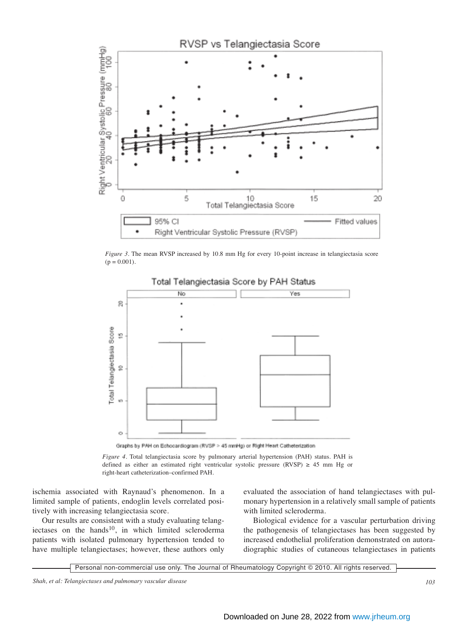

*Figure 3.* The mean RVSP increased by 10.8 mm Hg for every 10-point increase in telangiectasia score  $(p = 0.001)$ .



Graphs by PAH on Echocardiogram (RVSP > 45 mmHg) or Right Heart Catheterization

*Figure 4.* Total telangiectasia score by pulmonary arterial hypertension (PAH) status. PAH is defined as either an estimated right ventricular systolic pressure (RVSP)  $\geq$  45 mm Hg or right-heart catheterization–confirmed PAH.

ischemia associated with Raynaud's phenomenon. In a limited sample of patients, endoglin levels correlated positively with increasing telangiectasia score.

Our results are consistent with a study evaluating telangiectases on the hands<sup>10</sup>, in which limited scleroderma patients with isolated pulmonary hypertension tended to have multiple telangiectases; however, these authors only

evaluated the association of hand telangiectases with pulmonary hypertension in a relatively small sample of patients with limited scleroderma.

Biological evidence for a vascular perturbation driving the pathogenesis of telangiectases has been suggested by increased endothelial proliferation demonstrated on autoradiographic studies of cutaneous telangiectases in patients

Personal non-commercial use only. The Journal of Rheumatology Copyright © 2010. All rights reserved.

*Shah, et al: Telangiectases and pulmonary vascular disease 103*